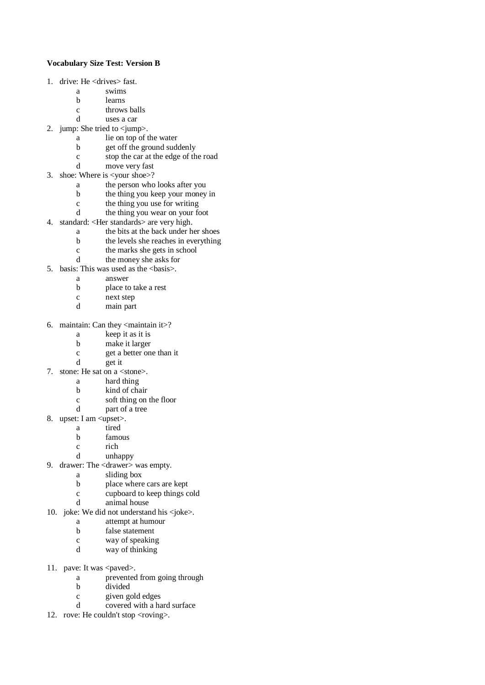## **Vocabulary Size Test: Version B**

- 1. drive: He <drives> fast.
	- a swims
	- b learns
	- c throws balls
	- d uses a car
- 2. jump: She tried to <jump>.
	- a lie on top of the water
	- b get off the ground suddenly
	- c stop the car at the edge of the road
	- d move very fast
- 3. shoe: Where is <your shoe>?
	- a the person who looks after you
	- b the thing you keep your money in
	- c the thing you use for writing
	- d the thing you wear on your foot
- 4. standard: <Her standards> are very high.
	- a the bits at the back under her shoes
	- b the levels she reaches in everything
	- c the marks she gets in school
	- d the money she asks for
- 5. basis: This was used as the  $\langle basis \rangle$ .
	- a answer
		- b place to take a rest
		- c next step
		- d main part
- 6. maintain: Can they <maintain it>?
	- a keep it as it is
	- b make it larger
	- c get a better one than it
	- d get it
- 7. stone: He sat on a <stone>.
	- a hard thing
		- b kind of chair
		- c soft thing on the floor
	- d part of a tree
- 8. upset: I am <upset>.
	- a tired
	- b famous
	- c rich
	- d unhappy
- 9. drawer: The <drawer> was empty.
	- a sliding box
	- b place where cars are kept
	- c cupboard to keep things cold
	- animal house
- 10. joke: We did not understand his <joke>.
	- a attempt at humour
	- b false statement
	- c way of speaking
	- d way of thinking
- 11. pave: It was <paved>.
	- a prevented from going through
	- b divided
	- c given gold edges
	- d covered with a hard surface
- 12. rove: He couldn't stop <roving>.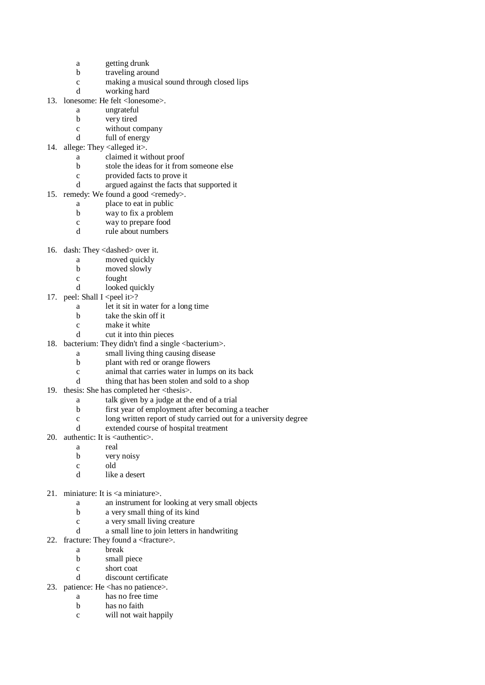- a getting drunk
- b traveling around
- c making a musical sound through closed lips
- d working hard
- 13. lonesome: He felt <lonesome>.
	- a ungrateful
	- b very tired
	- c without company
	- d full of energy
- 14. allege: They  $\leq$ alleged it $>$ .
	- a claimed it without proof
	- b stole the ideas for it from someone else
	- c provided facts to prove it
	- d argued against the facts that supported it
- 15. remedy: We found a good <remedy>.
	- a place to eat in public
	- b way to fix a problem
	- c way to prepare food
	- d rule about numbers
- 16. dash: They <dashed> over it.
	- a moved quickly
	- b moved slowly
	- c fought
	- d looked quickly
- 17. peel: Shall I <peel it >?
	- a let it sit in water for a long time
	- b take the skin off it
	- c make it white
	- d cut it into thin pieces
- 18. bacterium: They didn't find a single <br/>bacterium>.
	- a small living thing causing disease
	- b plant with red or orange flowers
	- c animal that carries water in lumps on its back
	- d thing that has been stolen and sold to a shop
- 19. thesis: She has completed her <thesis>.
	- a talk given by a judge at the end of a trial
	- b first year of employment after becoming a teacher
	- c long written report of study carried out for a university degree
	- d extended course of hospital treatment
- 20. authentic: It is <authentic>.
	- a real
	- b very noisy
	- c old
	- d like a desert
- 21. miniature: It is <a miniature>.
	- a an instrument for looking at very small objects
	- b a very small thing of its kind
	- c a very small living creature
	- d a small line to join letters in handwriting
- 22. fracture: They found a <fracture>.
	- a break
	- b small piece
	- c short coat
	- d discount certificate
- 23. patience: He <has no patience>.
	- a has no free time b has no faith
	-
	- c will not wait happily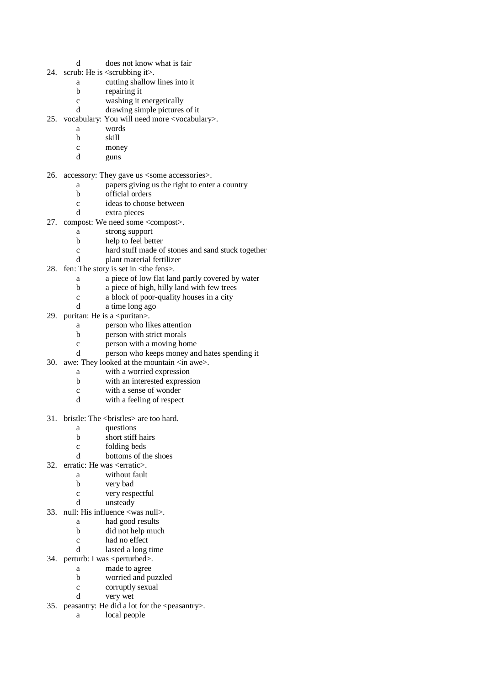- d does not know what is fair
- 24. scrub: He is <scrubbing it>.
	- a cutting shallow lines into it
	- b repairing it
	- c washing it energetically
	- d drawing simple pictures of it
- 25. vocabulary: You will need more <vocabulary>.
	- a words
	- b skill
	- c money
	- d guns
- 26. accessory: They gave us <some accessories>.
	- a papers giving us the right to enter a country
	- b official orders
	- c ideas to choose between
	- d extra pieces
- 27. compost: We need some <compost>.
	- a strong support
	- b help to feel better
	- c hard stuff made of stones and sand stuck together
	- d plant material fertilizer
- 28. fen: The story is set in  $\langle$ the fens>.
	- a a piece of low flat land partly covered by water
	- b a piece of high, hilly land with few trees
	- c a block of poor-quality houses in a city
	- d a time long ago
- 29. puritan: He is a  $\leq$  puritan $\geq$ .
	- a person who likes attention
	- b person with strict morals
	- c person with a moving home
	- d person who keeps money and hates spending it
- 30. awe: They looked at the mountain <in awe>.
	- a with a worried expression
	- b with an interested expression
	- c with a sense of wonder
	- d with a feeling of respect
- 31. bristle: The <bristles> are too hard.
	- a questions
	- b short stiff hairs
	- c folding beds
	- d bottoms of the shoes
- 32. erratic: He was <erratic>.
	- a without fault
	- b very bad
	- c very respectful
	- d unsteady
- 33. null: His influence <was null>.
	- a had good results
	- b did not help much
	- c had no effect
	- d lasted a long time
- 34. perturb: I was <perturbed>.
	- a made to agree
		- b worried and puzzled
		- c corruptly sexual
		- d very wet
- 35. peasantry: He did a lot for the <peasantry>.
	- a local people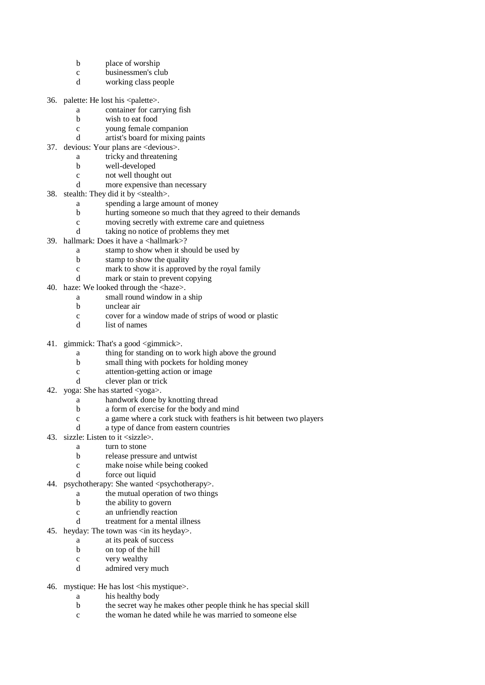- b place of worship
- c businessmen's club
- d working class people
- 36. palette: He lost his <palette>.
	- a container for carrying fish
		- b wish to eat food
		- c young female companion
	- d artist's board for mixing paints
- 37. devious: Your plans are <devious>.
	- a tricky and threatening
	- b well-developed
		- c not well thought out
		- d more expensive than necessary
- 38. stealth: They did it by <stealth>.
	- a spending a large amount of money
	- b hurting someone so much that they agreed to their demands
	- c moving secretly with extreme care and quietness
	- d taking no notice of problems they met
- 39. hallmark: Does it have a <hallmark>?
	- a stamp to show when it should be used by
		- b stamp to show the quality
		- c mark to show it is approved by the royal family
		- d mark or stain to prevent copying
- 40. haze: We looked through the <haze>.
	- a small round window in a ship
	- b unclear air
	- c cover for a window made of strips of wood or plastic
	- d list of names
- 41. gimmick: That's a good <gimmick>.
	- a thing for standing on to work high above the ground
	- b small thing with pockets for holding money
	- c attention-getting action or image
	- d clever plan or trick
- 42. yoga: She has started <yoga>.
	- a handwork done by knotting thread
	- b a form of exercise for the body and mind
	- c a game where a cork stuck with feathers is hit between two players
	- d a type of dance from eastern countries
- 43. sizzle: Listen to it <sizzle>.
	- a turn to stone
	- b release pressure and untwist
	- c make noise while being cooked
	- d force out liquid
- 44. psychotherapy: She wanted <psychotherapy>.
	- a the mutual operation of two things
		- b the ability to govern
		- c an unfriendly reaction
		- d treatment for a mental illness
- 45. heyday: The town was  $\langle$  in its heyday>.
	- a at its peak of success
	- b on top of the hill
	- c very wealthy
	- d admired very much
- 46. mystique: He has lost <his mystique>.
	- a his healthy body
	- b the secret way he makes other people think he has special skill
	- c the woman he dated while he was married to someone else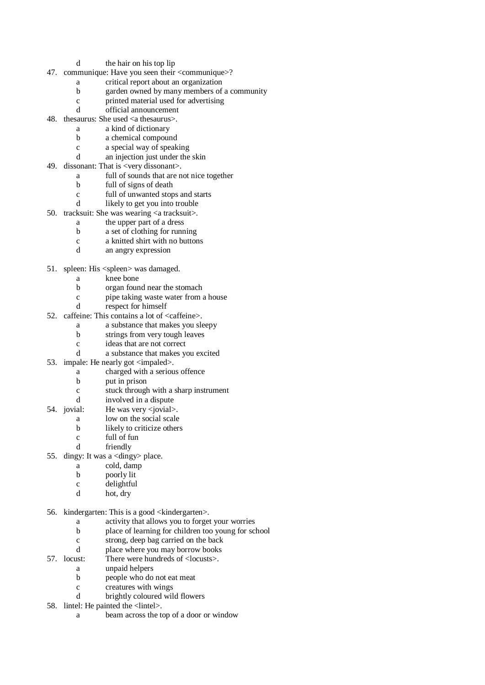- d the hair on his top lip
- 47. communique: Have you seen their <communique>?
	- a critical report about an organization
	- b garden owned by many members of a community
	- c printed material used for advertising
	- d official announcement
- 48. thesaurus: She used <a thesaurus>.
	- a a kind of dictionary
	- b a chemical compound
	- c a special way of speaking
	- d an injection just under the skin
- 49. dissonant: That is <very dissonant>.
	- a full of sounds that are not nice together
	- b full of signs of death
	- c full of unwanted stops and starts
	- d likely to get you into trouble
- 50. tracksuit: She was wearing <a tracksuit>.
	- a the upper part of a dress
	- b a set of clothing for running
	- c a knitted shirt with no buttons
	- d an angry expression
- 51. spleen: His <spleen> was damaged.
	- a knee bone
	- b organ found near the stomach
	- c pipe taking waste water from a house
	- d respect for himself
- 52. caffeine: This contains a lot of <caffeine>.
	- a a substance that makes you sleepy
	- b strings from very tough leaves
	- c ideas that are not correct
	- d a substance that makes you excited
- 53. impale: He nearly got  $\langle$  impaled $\rangle$ .
	- a charged with a serious offence
	- b put in prison
	- c stuck through with a sharp instrument
	- d involved in a dispute
- 54. jovial: He was very <jovial>.
	- a low on the social scale
	- b likely to criticize others
	- c full of fun
	- d friendly
- 55. dingy: It was a <dingy> place.
	- a cold, damp
		- b poorly lit
	- c delightful
	- d hot, dry
- 56. kindergarten: This is a good <kindergarten>.
	- a activity that allows you to forget your worries
	- b place of learning for children too young for school
	- c strong, deep bag carried on the back
	- d place where you may borrow books
- 57. locust: There were hundreds of <locusts>.
	- a unpaid helpers
	- b people who do not eat meat
	- c creatures with wings
	- d brightly coloured wild flowers
- 58. lintel: He painted the <lintel>.
	- a beam across the top of a door or window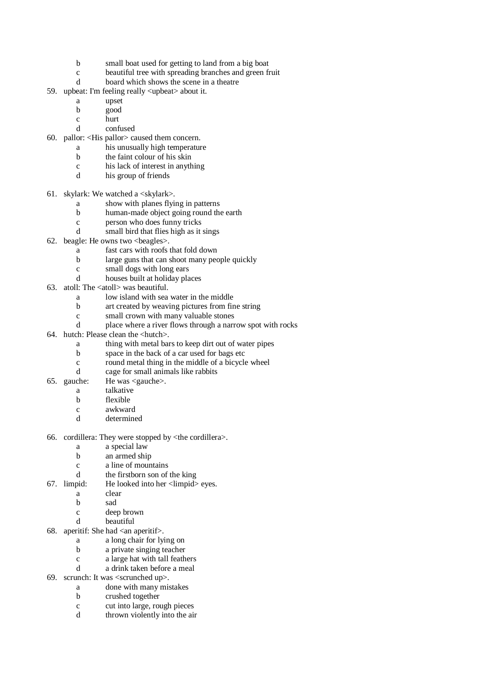- b small boat used for getting to land from a big boat
- c beautiful tree with spreading branches and green fruit
- d board which shows the scene in a theatre
- 59. upbeat: I'm feeling really <upbeat> about it.
	- a upset
	- b good
	- c hurt
	- d confused
- 60. pallor: <His pallor> caused them concern.
	- a his unusually high temperature
		- b the faint colour of his skin
	- c his lack of interest in anything
	- d his group of friends
- 61. skylark: We watched a  $\langle$ skylark $\rangle$ .
	- a show with planes flying in patterns
	- b human-made object going round the earth
	- c person who does funny tricks
	- d small bird that flies high as it sings
- 62. beagle: He owns two <beagles>.
	- a fast cars with roofs that fold down
	- b large guns that can shoot many people quickly
	- c small dogs with long ears
	- d houses built at holiday places
- 63. atoll: The <atoll> was beautiful.
	- a low island with sea water in the middle
	- b art created by weaving pictures from fine string
	- c small crown with many valuable stones
	- d place where a river flows through a narrow spot with rocks
- 64. hutch: Please clean the <hutch>.
	- a thing with metal bars to keep dirt out of water pipes
	- b space in the back of a car used for bags etc
	- c round metal thing in the middle of a bicycle wheel
	- d cage for small animals like rabbits
- 65. gauche: He was <gauche>.
	- a talkative
	- b flexible
	- c awkward
	- d determined
- 66. cordillera: They were stopped by <the cordillera>.
	- a a special law
	- b an armed ship
	- c a line of mountains
	- d the firstborn son of the king
- 67. limpid: He looked into her <limpid> eyes.
	- a clear
	- b sad
	- c deep brown
	- d beautiful
- 68. aperitif: She had  $\langle$ an aperitif $\rangle$ .
	- a a long chair for lying on
	- b a private singing teacher
	- c a large hat with tall feathers
	- d a drink taken before a meal
- 69. scrunch: It was <scrunched up>.
	- a done with many mistakes
	- b crushed together
	- c cut into large, rough pieces
	- d thrown violently into the air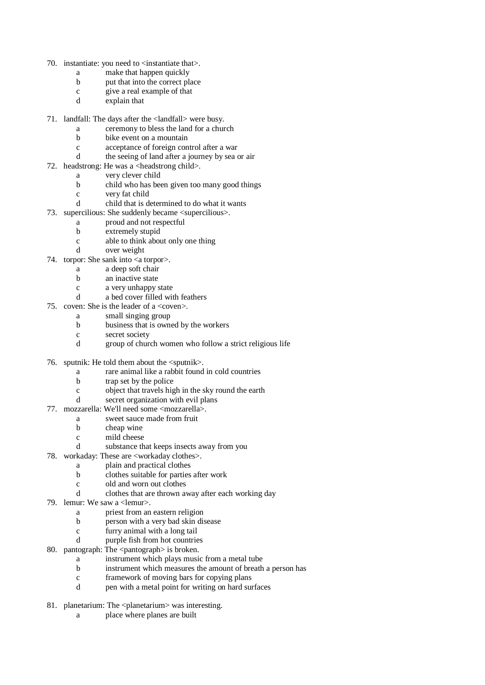- 70. instantiate: you need to <instantiate that>.
	- a make that happen quickly
	- b put that into the correct place
	- c give a real example of that
	- d explain that
- 71. landfall: The days after the <landfall> were busy.
	- a ceremony to bless the land for a church
	- b bike event on a mountain
	- c acceptance of foreign control after a war
	- d the seeing of land after a journey by sea or air
- 72. headstrong: He was a <headstrong child>.
	- a very clever child
	- b child who has been given too many good things
	- c very fat child
	- d child that is determined to do what it wants
- 73. supercilious: She suddenly became <supercilious>.
	- a proud and not respectful
	- b extremely stupid
	- c able to think about only one thing
	- d over weight
- 74. torpor: She sank into  $\langle a \text{ torp} \rangle$ .
	- a a deep soft chair
	- b an inactive state
	- c a very unhappy state
	- d a bed cover filled with feathers
- 75. coven: She is the leader of a <coven>.
	- a small singing group
	- b business that is owned by the workers
	- c secret society
	- d group of church women who follow a strict religious life
- 76. sputnik: He told them about the <sputnik>.
	- a rare animal like a rabbit found in cold countries
	- b trap set by the police
	- c object that travels high in the sky round the earth
	- d secret organization with evil plans
- 77. mozzarella: We'll need some <mozzarella>.
	- a sweet sauce made from fruit
	- b cheap wine
	- c mild cheese
	- d substance that keeps insects away from you
- 78. workaday: These are <workaday clothes>.
	- a plain and practical clothes
		- b clothes suitable for parties after work
		- c old and worn out clothes
		- d clothes that are thrown away after each working day
- 79. lemur: We saw a <lemur>.
	- a priest from an eastern religion
	- b person with a very bad skin disease
	- c furry animal with a long tail
	- d purple fish from hot countries
- 80. pantograph: The <pantograph> is broken.
	- a instrument which plays music from a metal tube
	- b instrument which measures the amount of breath a person has
		- c framework of moving bars for copying plans
		- d pen with a metal point for writing on hard surfaces
- 81. planetarium: The <planetarium> was interesting.
	- a place where planes are built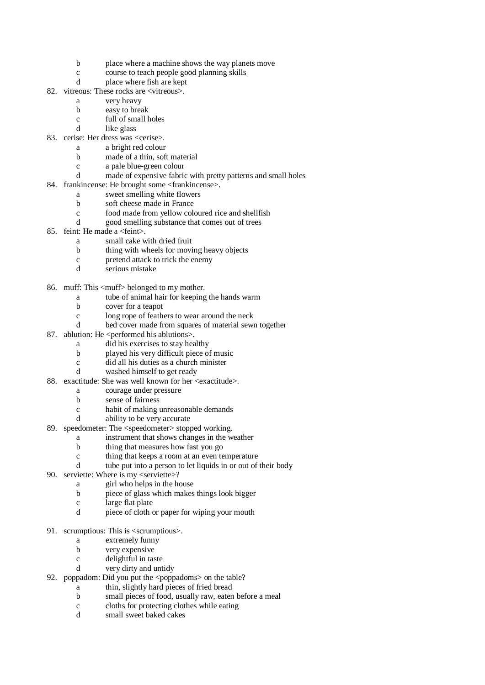- b place where a machine shows the way planets move
- c course to teach people good planning skills
- d place where fish are kept
- 82. vitreous: These rocks are <vitreous>.
	- a very heavy
	- b easy to break
	- c full of small holes
	- d like glass
- 83. cerise: Her dress was <cerise>.
	- a a bright red colour
		- b made of a thin, soft material
		- c a pale blue-green colour
		- d made of expensive fabric with pretty patterns and small holes
- 84. frankincense: He brought some <frankincense>.
	- a sweet smelling white flowers
	- b soft cheese made in France
	- c food made from yellow coloured rice and shellfish
	- d good smelling substance that comes out of trees
- 85. feint: He made a <feint>.
	- a small cake with dried fruit
	- b thing with wheels for moving heavy objects
	- c pretend attack to trick the enemy
	- d serious mistake
- 86. muff: This <muff> belonged to my mother.
	- a tube of animal hair for keeping the hands warm
	- b cover for a teapot
	- c long rope of feathers to wear around the neck
	- d bed cover made from squares of material sewn together
- 87. ablution: He  $\leq$  performed his ablutions>.
	- a did his exercises to stay healthy
	- b played his very difficult piece of music
	- c did all his duties as a church minister
	- d washed himself to get ready
- 88. exactitude: She was well known for her <exactitude>.
	- a courage under pressure
	- b sense of fairness
	- c habit of making unreasonable demands
	- d ability to be very accurate
- 89. speedometer: The <speedometer> stopped working.
	- a instrument that shows changes in the weather
	- b thing that measures how fast you go
	- c thing that keeps a room at an even temperature
	- d tube put into a person to let liquids in or out of their body
- 90. serviette: Where is my <serviette>?
	- a girl who helps in the house
	- b piece of glass which makes things look bigger
	- c large flat plate
	- d piece of cloth or paper for wiping your mouth
- 91. scrumptious: This is <scrumptious>.
	- a extremely funny
	- b very expensive
	- c delightful in taste
	- d very dirty and untidy
- 92. poppadom: Did you put the <poppadoms> on the table?
	- a thin, slightly hard pieces of fried bread
	- b small pieces of food, usually raw, eaten before a meal
	- c cloths for protecting clothes while eating
	- d small sweet baked cakes